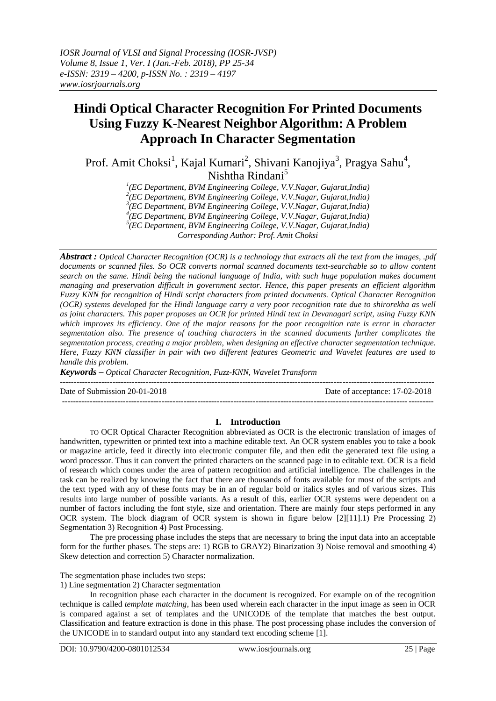# **Hindi Optical Character Recognition For Printed Documents Using Fuzzy K-Nearest Neighbor Algorithm: A Problem Approach In Character Segmentation**

Prof. Amit Choksi<sup>1</sup>, Kajal Kumari<sup>2</sup>, Shivani Kanojiya<sup>3</sup>, Pragya Sahu<sup>4</sup>, Nishtha Rindani<sup>5</sup>

> *1 (EC Department, BVM Engineering College, V.V.Nagar, Gujarat,India) 2 (EC Department, BVM Engineering College, V.V.Nagar, Gujarat,India)*

> *3 (EC Department, BVM Engineering College, V.V.Nagar, Gujarat,India)*

*4 (EC Department, BVM Engineering College, V.V.Nagar, Gujarat,India)*

*5 (EC Department, BVM Engineering College, V.V.Nagar, Gujarat,India)*

*Corresponding Author: Prof. Amit Choksi*

*Abstract : [Optical Character Recognition \(OCR\)](https://www.ricohdocs.com/ocr-software.php) is a technology that extracts all the text from the images, .pdf documents or scanned files. So OCR converts normal scanned documents text-searchable so to allow content search on the same. Hindi being the national language of India, with such huge population makes document managing and preservation difficult in government sector. Hence, this paper presents an efficient algorithm Fuzzy KNN for recognition of Hindi script characters from printed documents. Optical Character Recognition (OCR) systems developed for the Hindi language carry a very poor recognition rate due to shirorekha as well as joint characters. This paper proposes an OCR for printed Hindi text in Devanagari script, using Fuzzy KNN which improves its efficiency. One of the major reasons for the poor recognition rate is error in character segmentation also. The presence of touching characters in the scanned documents further complicates the segmentation process, creating a major problem, when designing an effective character segmentation technique. Here, Fuzzy KNN classifier in pair with two different features Geometric and Wavelet features are used to handle this problem.* 

*Keywords – Optical Character Recognition, Fuzz-KNN, Wavelet Transform*  $-1\leq i\leq n-1$ 

--------------------------------------------------------------------------------------------------------------------------------------

Date of Submission 20-01-2018 Date of acceptance: 17-02-2018

# **I. Introduction**

TO OCR Optical Character Recognition abbreviated as OCR is the electronic translation of images of handwritten, typewritten or printed text into a machine editable text. An OCR system enables you to take a book or magazine article, feed it directly into electronic computer file, and then edit the generated text file using a word processor. Thus it can convert the printed characters on the scanned page in to editable text. OCR is a field of research which comes under the area of pattern recognition and artificial intelligence. The challenges in the task can be realized by knowing the fact that there are thousands of fonts available for most of the scripts and the text typed with any of these fonts may be in an of regular bold or italics styles and of various sizes. This results into large number of possible variants. As a result of this, earlier OCR systems were dependent on a number of factors including the font style, size and orientation. There are mainly four steps performed in any OCR system. The block diagram of OCR system is shown in figure below [2][11].1) Pre Processing 2) Segmentation 3) Recognition 4) Post Processing.

The pre processing phase includes the steps that are necessary to bring the input data into an acceptable form for the further phases. The steps are: 1) RGB to GRAY2) Binarization 3) Noise removal and smoothing 4) Skew detection and correction 5) Character normalization.

The segmentation phase includes two steps:

1) Line segmentation 2) Character segmentation

In recognition phase each character in the document is recognized. For example on of the recognition technique is called *template matching*, has been used wherein each character in the input image as seen in OCR is compared against a set of templates and the UNICODE of the template that matches the best output. Classification and feature extraction is done in this phase. The post processing phase includes the conversion of the UNICODE in to standard output into any standard text encoding scheme [1].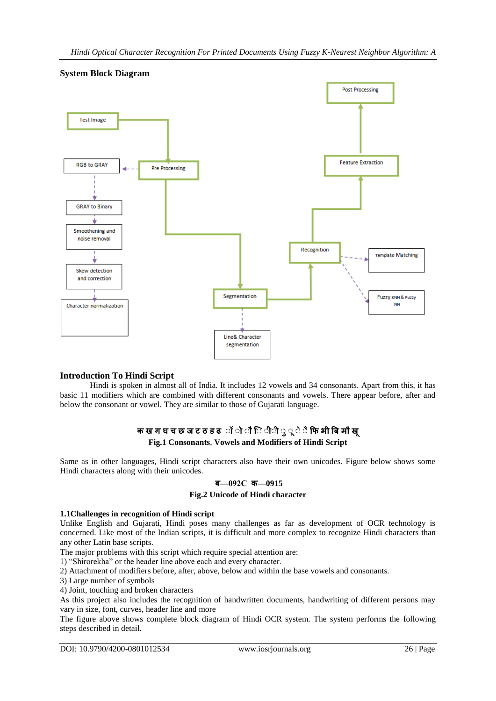

# **System Block Diagram**

# **Introduction To Hindi Script**

Hindi is spoken in almost all of India. It includes 12 vowels and 34 consonants. Apart from this, it has basic 11 modifiers which are combined with different consonants and vowels. There appear before, after and below the consonant or vowel. They are similar to those of Gujarati language.

# **क ख ग घ च छ ज ट ठ ड ढ ॉ ॉ ॉ िॉ ॉ ॉ ॉ ॉ ॉ ॉ फि भ बि म ख Fig.1 Consonants**, **Vowels and Modifiers of Hindi Script**

Same as in other languages, Hindi script characters also have their own unicodes. Figure below shows some Hindi characters along with their unicodes.

# **ि—092C क—0915**

# **Fig.2 Unicode of Hindi character**

# **1.1Challenges in recognition of Hindi script**

Unlike English and Gujarati, Hindi poses many challenges as far as development of OCR technology is concerned. Like most of the Indian scripts, it is difficult and more complex to recognize Hindi characters than any other Latin base scripts.

The major problems with this script which require special attention are:

1) "Shirorekha" or the header line above each and every character.

2) Attachment of modifiers before, after, above, below and within the base vowels and consonants.

3) Large number of symbols

4) Joint, touching and broken characters

As this project also includes the recognition of handwritten documents, handwriting of different persons may vary in size, font, curves, header line and more

The figure above shows complete block diagram of Hindi OCR system. The system performs the following steps described in detail.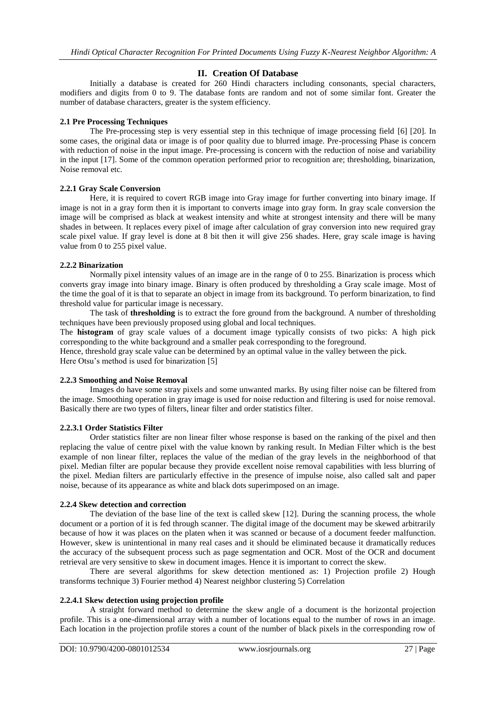# **II. Creation Of Database**

Initially a database is created for 260 Hindi characters including consonants, special characters, modifiers and digits from 0 to 9. The database fonts are random and not of some similar font. Greater the number of database characters, greater is the system efficiency.

# **2.1 Pre Processing Techniques**

The Pre-processing step is very essential step in this technique of image processing field [6] [20]. In some cases, the original data or image is of poor quality due to blurred image. Pre-processing Phase is concern with reduction of noise in the input image. Pre-processing is concern with the reduction of noise and variability in the input [17]. Some of the common operation performed prior to recognition are; thresholding, binarization, Noise removal etc.

# **2.2.1 Gray Scale Conversion**

Here, it is required to covert RGB image into Gray image for further converting into binary image. If image is not in a gray form then it is important to converts image into gray form. In gray scale conversion the image will be comprised as black at weakest intensity and white at strongest intensity and there will be many shades in between. It replaces every pixel of image after calculation of gray conversion into new required gray scale pixel value. If gray level is done at 8 bit then it will give 256 shades. Here, gray scale image is having value from 0 to 255 pixel value.

# **2.2.2 Binarization**

Normally pixel intensity values of an image are in the range of 0 to 255. Binarization is process which converts gray image into binary image. Binary is often produced by thresholding a Gray scale image. Most of the time the goal of it is that to separate an object in image from its background. To perform binarization, to find threshold value for particular image is necessary.

The task of **thresholding** is to extract the fore ground from the background. A number of thresholding techniques have been previously proposed using global and local techniques.

The **histogram** of gray scale values of a document image typically consists of two picks: A high pick corresponding to the white background and a smaller peak corresponding to the foreground.

Hence, threshold gray scale value can be determined by an optimal value in the valley between the pick. Here Otsu's method is used for binarization [5]

# **2.2.3 Smoothing and Noise Removal**

Images do have some stray pixels and some unwanted marks. By using filter noise can be filtered from the image. Smoothing operation in gray image is used for noise reduction and filtering is used for noise removal. Basically there are two types of filters, linear filter and order statistics filter.

# **2.2.3.1 Order Statistics Filter**

Order statistics filter are non linear filter whose response is based on the ranking of the pixel and then replacing the value of centre pixel with the value known by ranking result. In Median Filter which is the best example of non linear filter, replaces the value of the median of the gray levels in the neighborhood of that pixel. Median filter are popular because they provide excellent noise removal capabilities with less blurring of the pixel. Median filters are particularly effective in the presence of impulse noise, also called salt and paper noise, because of its appearance as white and black dots superimposed on an image.

# **2.2.4 Skew detection and correction**

The deviation of the base line of the text is called skew [12]. During the scanning process, the whole document or a portion of it is fed through scanner. The digital image of the document may be skewed arbitrarily because of how it was places on the platen when it was scanned or because of a document feeder malfunction. However, skew is unintentional in many real cases and it should be eliminated because it dramatically reduces the accuracy of the subsequent process such as page segmentation and OCR. Most of the OCR and document retrieval are very sensitive to skew in document images. Hence it is important to correct the skew.

There are several algorithms for skew detection mentioned as: 1) Projection profile 2) Hough transforms technique 3) Fourier method 4) Nearest neighbor clustering 5) Correlation

# **2.2.4.1 Skew detection using projection profile**

A straight forward method to determine the skew angle of a document is the horizontal projection profile. This is a one-dimensional array with a number of locations equal to the number of rows in an image. Each location in the projection profile stores a count of the number of black pixels in the corresponding row of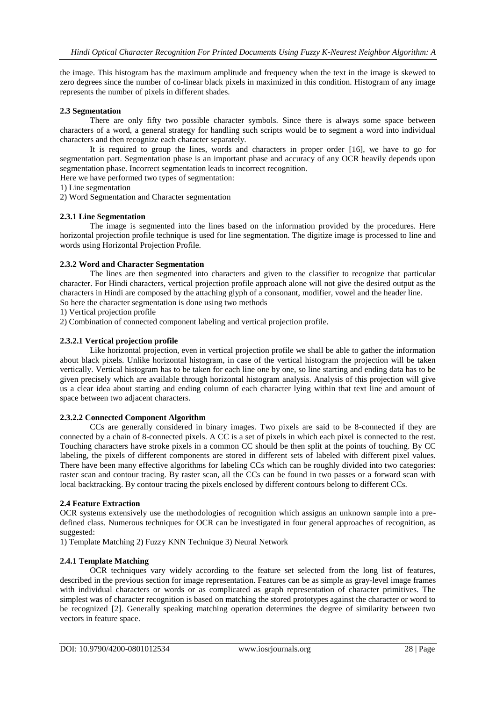the image. This histogram has the maximum amplitude and frequency when the text in the image is skewed to zero degrees since the number of co-linear black pixels in maximized in this condition. Histogram of any image represents the number of pixels in different shades.

# **2.3 Segmentation**

There are only fifty two possible character symbols. Since there is always some space between characters of a word, a general strategy for handling such scripts would be to segment a word into individual characters and then recognize each character separately.

It is required to group the lines, words and characters in proper order [16], we have to go for segmentation part. Segmentation phase is an important phase and accuracy of any OCR heavily depends upon segmentation phase. Incorrect segmentation leads to incorrect recognition.

Here we have performed two types of segmentation:

1) Line segmentation

2) Word Segmentation and Character segmentation

# **2.3.1 Line Segmentation**

The image is segmented into the lines based on the information provided by the procedures. Here horizontal projection profile technique is used for line segmentation. The digitize image is processed to line and words using Horizontal Projection Profile.

# **2.3.2 Word and Character Segmentation**

The lines are then segmented into characters and given to the classifier to recognize that particular character. For Hindi characters, vertical projection profile approach alone will not give the desired output as the characters in Hindi are composed by the attaching glyph of a consonant, modifier, vowel and the header line. So here the character segmentation is done using two methods

1) Vertical projection profile

2) Combination of connected component labeling and vertical projection profile.

# **2.3.2.1 Vertical projection profile**

Like horizontal projection, even in vertical projection profile we shall be able to gather the information about black pixels. Unlike horizontal histogram, in case of the vertical histogram the projection will be taken vertically. Vertical histogram has to be taken for each line one by one, so line starting and ending data has to be given precisely which are available through horizontal histogram analysis. Analysis of this projection will give us a clear idea about starting and ending column of each character lying within that text line and amount of space between two adjacent characters.

# **2.3.2.2 Connected Component Algorithm**

CCs are generally considered in binary images. Two pixels are said to be 8-connected if they are connected by a chain of 8-connected pixels. A CC is a set of pixels in which each pixel is connected to the rest. Touching characters have stroke pixels in a common CC should be then split at the points of touching. By CC labeling, the pixels of different components are stored in different sets of labeled with different pixel values. There have been many effective algorithms for labeling CCs which can be roughly divided into two categories: raster scan and contour tracing. By raster scan, all the CCs can be found in two passes or a forward scan with local backtracking. By contour tracing the pixels enclosed by different contours belong to different CCs.

# **2.4 Feature Extraction**

OCR systems extensively use the methodologies of recognition which assigns an unknown sample into a predefined class. Numerous techniques for OCR can be investigated in four general approaches of recognition, as suggested:

1) Template Matching 2) Fuzzy KNN Technique 3) Neural Network

# **2.4.1 Template Matching**

OCR techniques vary widely according to the feature set selected from the long list of features, described in the previous section for image representation. Features can be as simple as gray-level image frames with individual characters or words or as complicated as graph representation of character primitives. The simplest was of character recognition is based on matching the stored prototypes against the character or word to be recognized [2]. Generally speaking matching operation determines the degree of similarity between two vectors in feature space.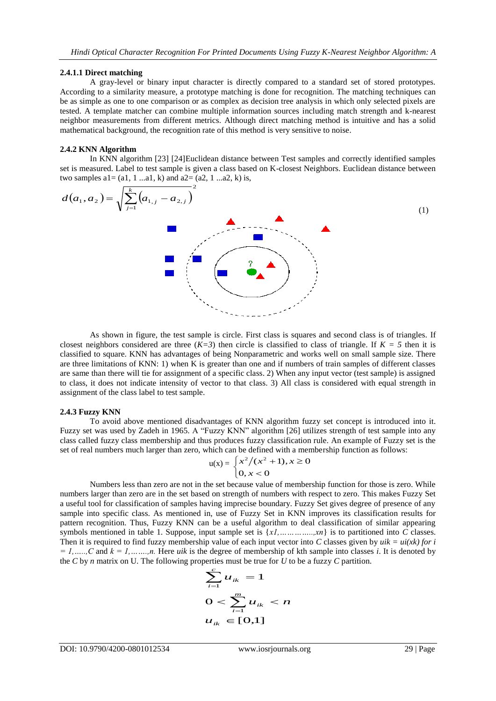#### **2.4.1.1 Direct matching**

A gray-level or binary input character is directly compared to a standard set of stored prototypes. According to a similarity measure, a prototype matching is done for recognition. The matching techniques can be as simple as one to one comparison or as complex as decision tree analysis in which only selected pixels are tested. A template matcher can combine multiple information sources including match strength and k-nearest neighbor measurements from different metrics. Although direct matching method is intuitive and has a solid mathematical background, the recognition rate of this method is very sensitive to noise.

### **2.4.2 KNN Algorithm**

In KNN algorithm [23] [24]Euclidean distance between Test samples and correctly identified samples set is measured. Label to test sample is given a class based on K-closest Neighbors. Euclidean distance between two samples  $a1 = (a1, 1 \dots a1, k)$  and  $a2 = (a2, 1 \dots a2, k)$  is,

$$
d(a_1, a_2) = \sqrt{\sum_{j=1}^{k} (a_{1,j} - a_{2,j})^2}
$$
 (1)

As shown in figure, the test sample is circle. First class is squares and second class is of triangles. If closest neighbors considered are three  $(K=3)$  then circle is classified to class of triangle. If  $K = 5$  then it is classified to square. KNN has advantages of being Nonparametric and works well on small sample size. There are three limitations of KNN: 1) when K is greater than one and if numbers of train samples of different classes are same than there will tie for assignment of a specific class. 2) When any input vector (test sample) is assigned to class, it does not indicate intensity of vector to that class. 3) All class is considered with equal strength in assignment of the class label to test sample.

#### **2.4.3 Fuzzy KNN**

To avoid above mentioned disadvantages of KNN algorithm fuzzy set concept is introduced into it. Fuzzy set was used by Zadeh in 1965. A "Fuzzy KNN" algorithm [26] utilizes strength of test sample into any class called fuzzy class membership and thus produces fuzzy classification rule. An example of Fuzzy set is the set of real numbers much larger than zero, which can be defined with a membership function as follows:

$$
u(x) = \begin{cases} x^2/(x^2+1), & x \ge 0 \\ 0, & x < 0 \end{cases}
$$

Numbers less than zero are not in the set because value of membership function for those is zero. While numbers larger than zero are in the set based on strength of numbers with respect to zero. This makes Fuzzy Set a useful tool for classification of samples having imprecise boundary. Fuzzy Set gives degree of presence of any sample into specific class. As mentioned in, use of Fuzzy Set in KNN improves its classification results for pattern recognition. Thus, Fuzzy KNN can be a useful algorithm to deal classification of similar appearing symbols mentioned in table 1. Suppose, input sample set is {*x1,…………..,xn*} is to partitioned into *C* classes. Then it is required to find fuzzy membership value of each input vector into *C* classes given by  $uik = ui(xk)$  for i  $= 1, \ldots, C$  and  $k = 1, \ldots, n$ . Here *uik* is the degree of membership of kth sample into classes *i*. It is denoted by the *C* by *n* matrix on U. The following properties must be true for *U* to be a fuzzy *C* partition.

$$
\sum_{i=1}^{c} u_{ik} = 1
$$
  
 
$$
0 < \sum_{i=1}^{m} u_{ik} < n
$$
  
 
$$
u_{ik} \in [0,1]
$$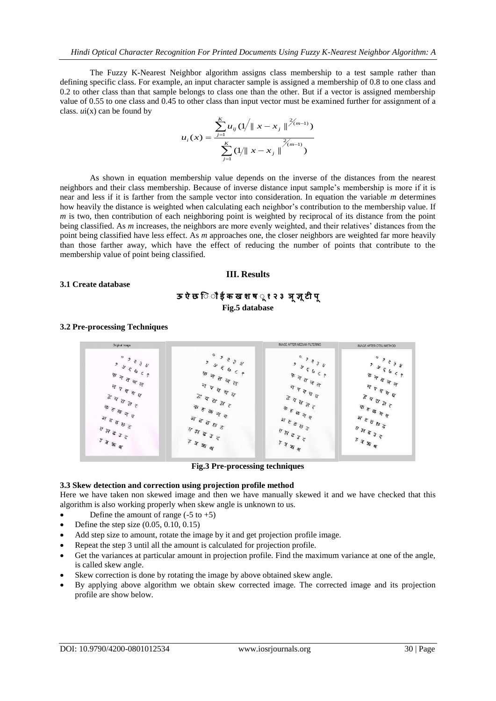The Fuzzy K-Nearest Neighbor algorithm assigns class membership to a test sample rather than defining specific class. For example, an input character sample is assigned a membership of 0.8 to one class and 0.2 to other class than that sample belongs to class one than the other. But if a vector is assigned membership value of 0.55 to one class and 0.45 to other class than input vector must be examined further for assignment of a class. *u*i(x) can be found by

$$
u_i(x) = \frac{\sum_{j=1}^{K} u_{ij} (1/\|x - x_j\|^{2(m-1)})}{\sum_{j=1}^{K} (1/\|x - x_j\|^{2(m-1)})}
$$

As shown in equation membership value depends on the inverse of the distances from the nearest neighbors and their class membership. Because of inverse distance input sample's membership is more if it is near and less if it is farther from the sample vector into consideration. In equation the variable *m* determines how heavily the distance is weighted when calculating each neighbor's contribution to the membership value. If *m* is two, then contribution of each neighboring point is weighted by reciprocal of its distance from the point being classified. As *m* increases, the neighbors are more evenly weighted, and their relatives' distances from the point being classified have less effect. As *m* approaches one, the closer neighbors are weighted far more heavily than those farther away, which have the effect of reducing the number of points that contribute to the membership value of point being classified.

### **III. Results**

# **3.1 Create database**

# **ऊ ऐ छ िॉ ॉ ई क ख श ष ॉ १ २ ३ ञ ज्ञ टी प Fig.5 database**

### **3.2 Pre-processing Techniques**



**Fig.3 Pre-processing techniques**

#### **3.3 Skew detection and correction using projection profile method**

Here we have taken non skewed image and then we have manually skewed it and we have checked that this algorithm is also working properly when skew angle is unknown to us.

- Define the amount of range  $(-5 \text{ to } +5)$
- Define the step size (0.05, 0.10, 0.15)
- Add step size to amount, rotate the image by it and get projection profile image.
- Repeat the step 3 until all the amount is calculated for projection profile.
- Get the variances at particular amount in projection profile. Find the maximum variance at one of the angle, is called skew angle.
- Skew correction is done by rotating the image by above obtained skew angle.
- By applying above algorithm we obtain skew corrected image. The corrected image and its projection profile are show below.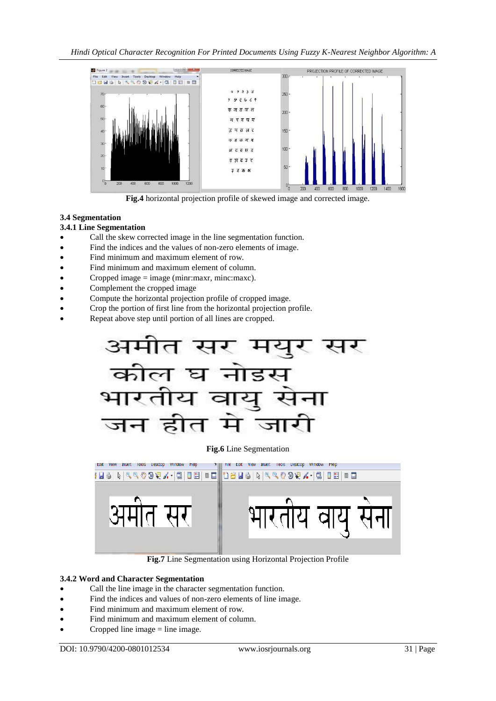

**Fig.4** horizontal projection profile of skewed image and corrected image.

# **3.4 Segmentation**

# **3.4.1 Line Segmentation**

- Call the skew corrected image in the line segmentation function.
- Find the indices and the values of non-zero elements of image.
- Find minimum and maximum element of row.
- Find minimum and maximum element of column.
- Cropped image  $=$  image (minr:maxr, minc:maxc).
- Complement the cropped image
- Compute the horizontal projection profile of cropped image.
- Crop the portion of first line from the horizontal projection profile.
- Repeat above step until portion of all lines are cropped.



# **Fig.6** Line Segmentation



**Fig.7** Line Segmentation using Horizontal Projection Profile

# **3.4.2 Word and Character Segmentation**

- Call the line image in the character segmentation function.
- Find the indices and values of non-zero elements of line image.
- Find minimum and maximum element of row.
- Find minimum and maximum element of column.
- Cropped line image = line image.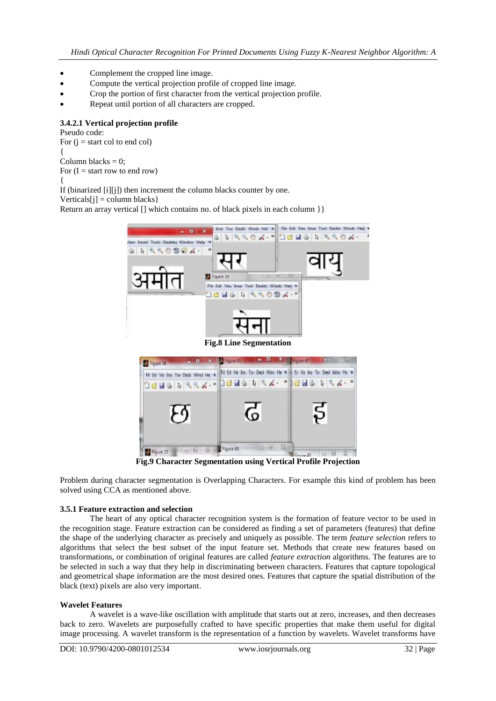- Complement the cropped line image.
- Compute the vertical projection profile of cropped line image.
- Crop the portion of first character from the vertical projection profile.
- Repeat until portion of all characters are cropped.

# **3.4.2.1 Vertical projection profile**

Pseudo code: For  $(i = start col to end col)$ { Column blacks  $= 0$ : For  $(I = start row to end row)$ { If (binarized [i][j]) then increment the column blacks counter by one.

 $Verticals[i] = column \, blocks$ 

Return an array vertical [] which contains no. of black pixels in each column  $\}$ 



**Fig.9 Character Segmentation using Vertical Profile Projection**

Problem during character segmentation is Overlapping Characters. For example this kind of problem has been solved using CCA as mentioned above.

# **3.5.1 Feature extraction and selection**

The heart of any optical character recognition system is the formation of feature vector to be used in the recognition stage. Feature extraction can be considered as finding a set of parameters (features) that define the shape of the underlying character as precisely and uniquely as possible. The term *feature selection* refers to algorithms that select the best subset of the input feature set. Methods that create new features based on transformations, or combination of original features are called *feature extraction* algorithms. The features are to be selected in such a way that they help in discriminating between characters. Features that capture topological and geometrical shape information are the most desired ones. Features that capture the spatial distribution of the black (text) pixels are also very important.

# **Wavelet Features**

A wavelet is a wave-like oscillation with amplitude that starts out at zero, increases, and then decreases back to zero. Wavelets are purposefully crafted to have specific properties that make them useful for digital image processing. A wavelet transform is the representation of a function by wavelets. Wavelet transforms have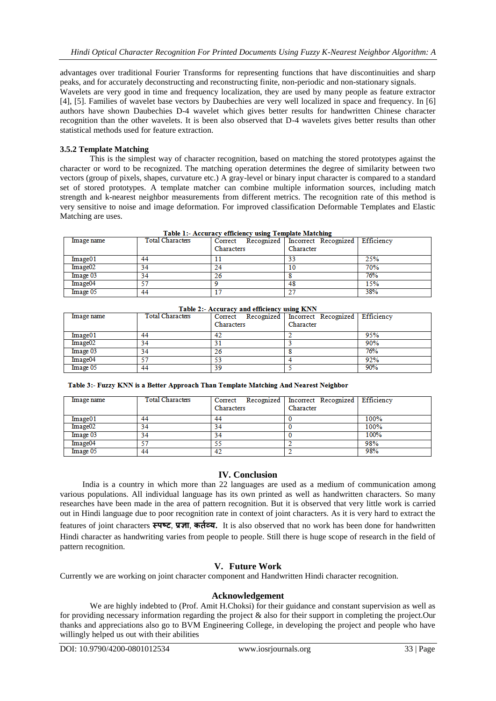advantages over traditional Fourier Transforms for representing functions that have discontinuities and sharp peaks, and for accurately deconstructing and reconstructing finite, non-periodic and non-stationary signals. Wavelets are very good in time and frequency localization, they are used by many people as feature extractor [4], [5]. Families of wavelet base vectors by Daubechies are very well localized in space and frequency. In [6] authors have shown Daubechies D-4 wavelet which gives better results for handwritten Chinese character recognition than the other wavelets. It is been also observed that D-4 wavelets gives better results than other statistical methods used for feature extraction.

# **3.5.2 Template Matching**

This is the simplest way of character recognition, based on matching the stored prototypes against the character or word to be recognized. The matching operation determines the degree of similarity between two vectors (group of pixels, shapes, curvature etc.) A gray-level or binary input character is compared to a standard set of stored prototypes. A template matcher can combine multiple information sources, including match strength and k-nearest neighbor measurements from different metrics. The recognition rate of this method is very sensitive to noise and image deformation. For improved classification Deformable Templates and Elastic Matching are uses.

| Table 1:- Accuracy efficiency using Template Matching |                                       |  |
|-------------------------------------------------------|---------------------------------------|--|
| <b>Total Characters</b>                               | Correct Recomized Incorrect Recomized |  |

| lmage name          | <b>Total Characters</b> | Characters | Correct Recognized   Incorrect Recognized   Efficiency<br>Character |     |
|---------------------|-------------------------|------------|---------------------------------------------------------------------|-----|
| Image01             | 44                      |            | 33                                                                  | 25% |
| Image <sub>02</sub> | 34                      | 24         | 10                                                                  | 70% |
| Image 03            | 34                      | 26         |                                                                     | 76% |
| Image04             |                         |            | 48                                                                  | 15% |
| Image 05            | 44                      |            | רמ                                                                  | 38% |

| Table 2:- Accuracy and efficiency using KNN |                         |            |                                                        |     |  |
|---------------------------------------------|-------------------------|------------|--------------------------------------------------------|-----|--|
| Image name                                  | <b>Total Characters</b> |            | Correct Recognized   Incorrect Recognized   Efficiency |     |  |
|                                             |                         | Characters | Character                                              |     |  |
| Image01                                     | 44                      |            |                                                        | 95% |  |
| Image <sub>02</sub>                         | 34                      |            |                                                        | 90% |  |
| Image 03                                    | 34                      | 26         |                                                        | 76% |  |
| Image04                                     | 57                      | 53         |                                                        | 92% |  |
| Image 05                                    | 44                      | 39         |                                                        | 90% |  |

Table 3:- Fuzzy KNN is a Better Approach Than Template Matching And Nearest Neighbor

| Image name          | <b>Total Characters</b> | Characters | Correct Recognized   Incorrect Recognized  <br>Character | Efficiency |
|---------------------|-------------------------|------------|----------------------------------------------------------|------------|
| Image01             | 44                      | 44         |                                                          | 100%       |
| Image <sub>02</sub> | 34                      | 34         |                                                          | 100%       |
| Image 03            | 34                      | 34         |                                                          | 100%       |
| Image04             | 57                      | 55         |                                                          | 98%        |
| Image 05            | 44                      | 42         |                                                          | 98%        |

# **IV. Conclusion**

India is a country in which more than 22 languages are used as a medium of communication among various populations. All individual language has its own printed as well as handwritten characters. So many researches have been made in the area of pattern recognition. But it is observed that very little work is carried out in Hindi language due to poor recognition rate in context of joint characters. As it is very hard to extract the features of joint characters **स्पष्ट**, **प्रज्ञा**, **कर्तव्य.** It is also observed that no work has been done for handwritten Hindi character as handwriting varies from people to people. Still there is huge scope of research in the field of pattern recognition.

# **V. Future Work**

Currently we are working on joint character component and Handwritten Hindi character recognition.

# **Acknowledgement**

We are highly indebted to (Prof. Amit H.Choksi) for their guidance and constant supervision as well as for providing necessary information regarding the project & also for their support in completing the project.Our thanks and appreciations also go to BVM Engineering College, in developing the project and people who have willingly helped us out with their abilities